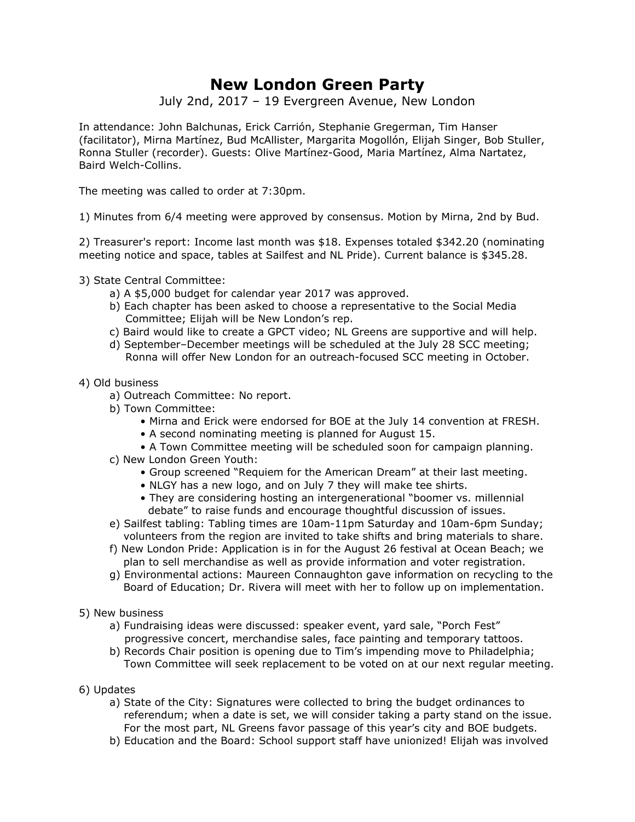## **New London Green Party**

July 2nd, 2017 – 19 Evergreen Avenue, New London

In attendance: John Balchunas, Erick Carrión, Stephanie Gregerman, Tim Hanser (facilitator), Mirna Martínez, Bud McAllister, Margarita Mogollón, Elijah Singer, Bob Stuller, Ronna Stuller (recorder). Guests: Olive Martínez-Good, Maria Martínez, Alma Nartatez, Baird Welch-Collins.

The meeting was called to order at 7:30pm.

1) Minutes from 6/4 meeting were approved by consensus. Motion by Mirna, 2nd by Bud.

2) Treasurer's report: Income last month was \$18. Expenses totaled \$342.20 (nominating meeting notice and space, tables at Sailfest and NL Pride). Current balance is \$345.28.

- 3) State Central Committee:
	- a) A \$5,000 budget for calendar year 2017 was approved.
	- b) Each chapter has been asked to choose a representative to the Social Media Committee; Elijah will be New London's rep.
	- c) Baird would like to create a GPCT video; NL Greens are supportive and will help.
	- d) September–December meetings will be scheduled at the July 28 SCC meeting; Ronna will offer New London for an outreach-focused SCC meeting in October.

## 4) Old business

- a) Outreach Committee: No report.
- b) Town Committee:
	- Mirna and Erick were endorsed for BOE at the July 14 convention at FRESH.
	- A second nominating meeting is planned for August 15.
	- A Town Committee meeting will be scheduled soon for campaign planning.
- c) New London Green Youth:
	- Group screened "Requiem for the American Dream" at their last meeting.
	- NLGY has a new logo, and on July 7 they will make tee shirts.
	- They are considering hosting an intergenerational "boomer vs. millennial debate" to raise funds and encourage thoughtful discussion of issues.
- e) Sailfest tabling: Tabling times are 10am-11pm Saturday and 10am-6pm Sunday; volunteers from the region are invited to take shifts and bring materials to share.
- f) New London Pride: Application is in for the August 26 festival at Ocean Beach; we plan to sell merchandise as well as provide information and voter registration.
- g) Environmental actions: Maureen Connaughton gave information on recycling to the Board of Education; Dr. Rivera will meet with her to follow up on implementation.
- 5) New business
	- a) Fundraising ideas were discussed: speaker event, yard sale, "Porch Fest" progressive concert, merchandise sales, face painting and temporary tattoos.
	- b) Records Chair position is opening due to Tim's impending move to Philadelphia; Town Committee will seek replacement to be voted on at our next regular meeting.
- 6) Updates
	- a) State of the City: Signatures were collected to bring the budget ordinances to referendum; when a date is set, we will consider taking a party stand on the issue. For the most part, NL Greens favor passage of this year's city and BOE budgets.
	- b) Education and the Board: School support staff have unionized! Elijah was involved